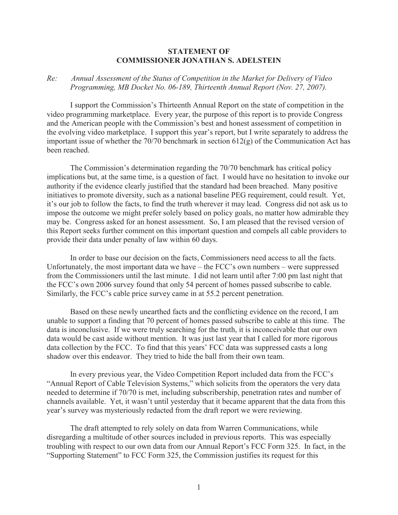## **STATEMENT OF COMMISSIONER JONATHAN S. ADELSTEIN**

## *Re: Annual Assessment of the Status of Competition in the Market for Delivery of Video Programming, MB Docket No. 06-189, Thirteenth Annual Report (Nov. 27, 2007).*

I support the Commission's Thirteenth Annual Report on the state of competition in the video programming marketplace. Every year, the purpose of this report is to provide Congress and the American people with the Commission's best and honest assessment of competition in the evolving video marketplace. I support this year's report, but I write separately to address the important issue of whether the 70/70 benchmark in section 612(g) of the Communication Act has been reached.

The Commission's determination regarding the 70/70 benchmark has critical policy implications but, at the same time, is a question of fact. I would have no hesitation to invoke our authority if the evidence clearly justified that the standard had been breached. Many positive initiatives to promote diversity, such as a national baseline PEG requirement, could result. Yet, it's our job to follow the facts, to find the truth wherever it may lead. Congress did not ask us to impose the outcome we might prefer solely based on policy goals, no matter how admirable they may be. Congress asked for an honest assessment. So, I am pleased that the revised version of this Report seeks further comment on this important question and compels all cable providers to provide their data under penalty of law within 60 days.

In order to base our decision on the facts, Commissioners need access to all the facts. Unfortunately, the most important data we have – the FCC's own numbers – were suppressed from the Commissioners until the last minute. I did not learn until after 7:00 pm last night that the FCC's own 2006 survey found that only 54 percent of homes passed subscribe to cable. Similarly, the FCC's cable price survey came in at 55.2 percent penetration.

Based on these newly unearthed facts and the conflicting evidence on the record, I am unable to support a finding that 70 percent of homes passed subscribe to cable at this time. The data is inconclusive. If we were truly searching for the truth, it is inconceivable that our own data would be cast aside without mention. It was just last year that I called for more rigorous data collection by the FCC. To find that this years' FCC data was suppressed casts a long shadow over this endeavor. They tried to hide the ball from their own team.

In every previous year, the Video Competition Report included data from the FCC's "Annual Report of Cable Television Systems," which solicits from the operators the very data needed to determine if 70/70 is met, including subscribership, penetration rates and number of channels available. Yet, it wasn't until yesterday that it became apparent that the data from this year's survey was mysteriously redacted from the draft report we were reviewing.

The draft attempted to rely solely on data from Warren Communications, while disregarding a multitude of other sources included in previous reports. This was especially troubling with respect to our own data from our Annual Report's FCC Form 325. In fact, in the "Supporting Statement" to FCC Form 325, the Commission justifies its request for this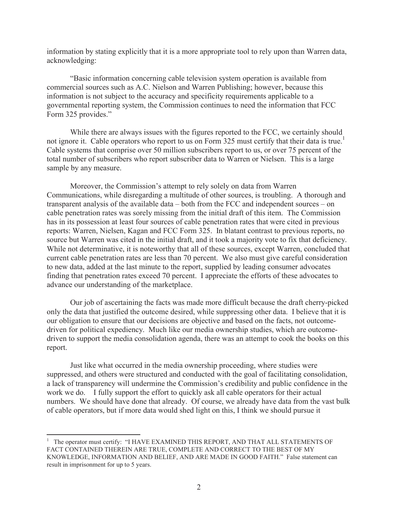information by stating explicitly that it is a more appropriate tool to rely upon than Warren data, acknowledging:

"Basic information concerning cable television system operation is available from commercial sources such as A.C. Nielson and Warren Publishing; however, because this information is not subject to the accuracy and specificity requirements applicable to a governmental reporting system, the Commission continues to need the information that FCC Form 325 provides."

While there are always issues with the figures reported to the FCC, we certainly should not ignore it. Cable operators who report to us on Form 325 must certify that their data is true.<sup>1</sup> Cable systems that comprise over 50 million subscribers report to us, or over 75 percent of the total number of subscribers who report subscriber data to Warren or Nielsen. This is a large sample by any measure.

Moreover, the Commission's attempt to rely solely on data from Warren Communications, while disregarding a multitude of other sources, is troubling. A thorough and transparent analysis of the available data – both from the FCC and independent sources – on cable penetration rates was sorely missing from the initial draft of this item. The Commission has in its possession at least four sources of cable penetration rates that were cited in previous reports: Warren, Nielsen, Kagan and FCC Form 325. In blatant contrast to previous reports, no source but Warren was cited in the initial draft, and it took a majority vote to fix that deficiency. While not determinative, it is noteworthy that all of these sources, except Warren, concluded that current cable penetration rates are less than 70 percent. We also must give careful consideration to new data, added at the last minute to the report, supplied by leading consumer advocates finding that penetration rates exceed 70 percent. I appreciate the efforts of these advocates to advance our understanding of the marketplace.

Our job of ascertaining the facts was made more difficult because the draft cherry-picked only the data that justified the outcome desired, while suppressing other data. I believe that it is our obligation to ensure that our decisions are objective and based on the facts, not outcomedriven for political expediency. Much like our media ownership studies, which are outcomedriven to support the media consolidation agenda, there was an attempt to cook the books on this report.

Just like what occurred in the media ownership proceeding, where studies were suppressed, and others were structured and conducted with the goal of facilitating consolidation, a lack of transparency will undermine the Commission's credibility and public confidence in the work we do. I fully support the effort to quickly ask all cable operators for their actual numbers. We should have done that already. Of course, we already have data from the vast bulk of cable operators, but if more data would shed light on this, I think we should pursue it

<sup>&</sup>lt;sup>1</sup> The operator must certify: "I HAVE EXAMINED THIS REPORT, AND THAT ALL STATEMENTS OF FACT CONTAINED THEREIN ARE TRUE, COMPLETE AND CORRECT TO THE BEST OF MY KNOWLEDGE, INFORMATION AND BELIEF, AND ARE MADE IN GOOD FAITH." False statement can result in imprisonment for up to 5 years.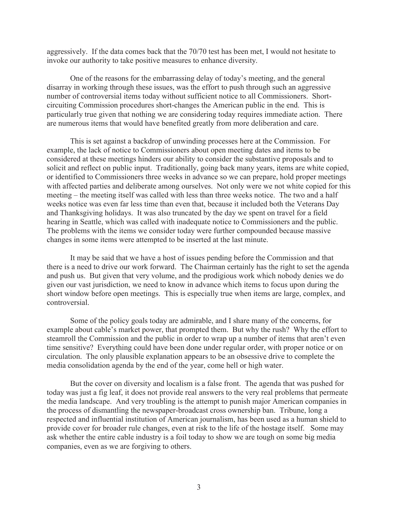aggressively. If the data comes back that the 70/70 test has been met, I would not hesitate to invoke our authority to take positive measures to enhance diversity.

One of the reasons for the embarrassing delay of today's meeting, and the general disarray in working through these issues, was the effort to push through such an aggressive number of controversial items today without sufficient notice to all Commissioners. Shortcircuiting Commission procedures short-changes the American public in the end. This is particularly true given that nothing we are considering today requires immediate action. There are numerous items that would have benefited greatly from more deliberation and care.

This is set against a backdrop of unwinding processes here at the Commission. For example, the lack of notice to Commissioners about open meeting dates and items to be considered at these meetings hinders our ability to consider the substantive proposals and to solicit and reflect on public input. Traditionally, going back many years, items are white copied, or identified to Commissioners three weeks in advance so we can prepare, hold proper meetings with affected parties and deliberate among ourselves. Not only were we not white copied for this meeting – the meeting itself was called with less than three weeks notice. The two and a half weeks notice was even far less time than even that, because it included both the Veterans Day and Thanksgiving holidays. It was also truncated by the day we spent on travel for a field hearing in Seattle, which was called with inadequate notice to Commissioners and the public. The problems with the items we consider today were further compounded because massive changes in some items were attempted to be inserted at the last minute.

It may be said that we have a host of issues pending before the Commission and that there is a need to drive our work forward. The Chairman certainly has the right to set the agenda and push us. But given that very volume, and the prodigious work which nobody denies we do given our vast jurisdiction, we need to know in advance which items to focus upon during the short window before open meetings. This is especially true when items are large, complex, and controversial.

Some of the policy goals today are admirable, and I share many of the concerns, for example about cable's market power, that prompted them. But why the rush? Why the effort to steamroll the Commission and the public in order to wrap up a number of items that aren't even time sensitive? Everything could have been done under regular order, with proper notice or on circulation. The only plausible explanation appears to be an obsessive drive to complete the media consolidation agenda by the end of the year, come hell or high water.

But the cover on diversity and localism is a false front. The agenda that was pushed for today was just a fig leaf, it does not provide real answers to the very real problems that permeate the media landscape. And very troubling is the attempt to punish major American companies in the process of dismantling the newspaper-broadcast cross ownership ban. Tribune, long a respected and influential institution of American journalism, has been used as a human shield to provide cover for broader rule changes, even at risk to the life of the hostage itself. Some may ask whether the entire cable industry is a foil today to show we are tough on some big media companies, even as we are forgiving to others.